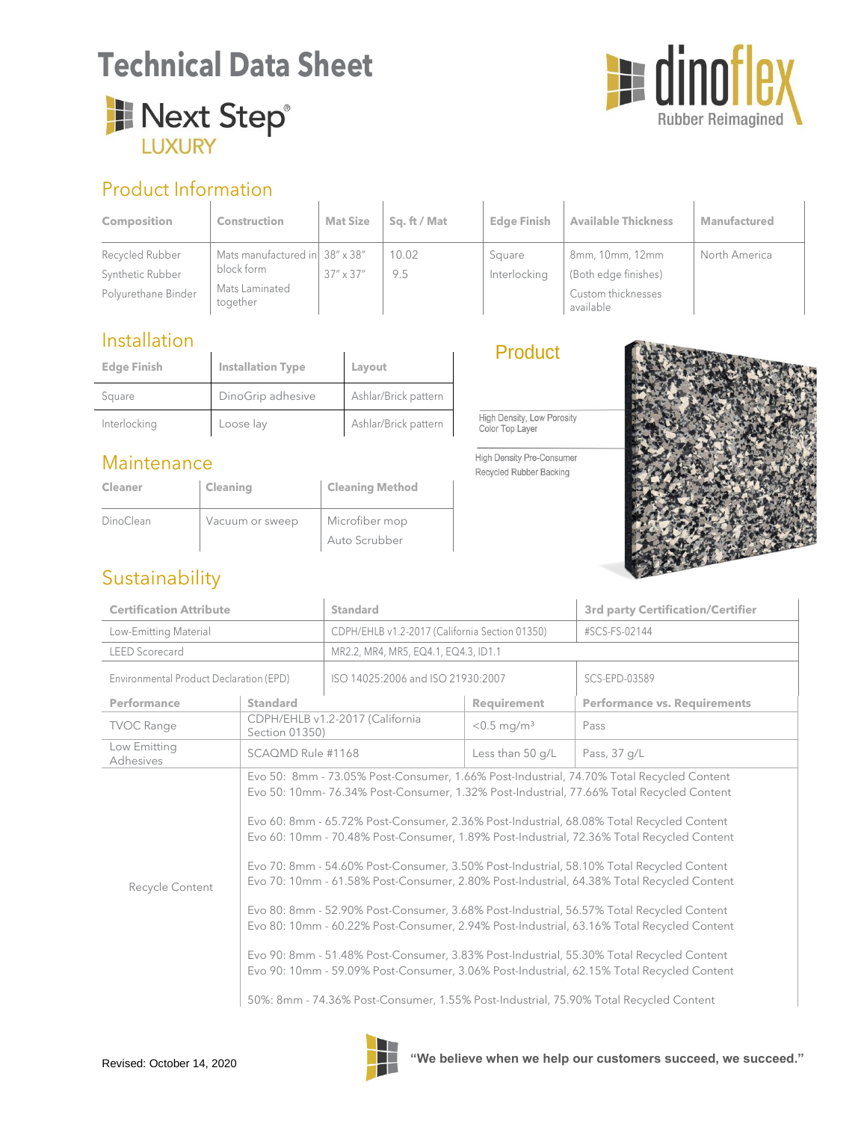# **Technical Data Sheet**





### Product Information

| <b>Composition</b>  | <b>Construction</b>            | <b>Mat Size</b>    | Sq. ft / Mat | <b>Edge Finish</b> | <b>Available Thickness</b>      | <b>Manufactured</b> |
|---------------------|--------------------------------|--------------------|--------------|--------------------|---------------------------------|---------------------|
| Recycled Rubber     | Mats manufactured in 38" x 38" |                    | 10.02        | Square             | 8mm, 10mm, 12mm                 | North America       |
| Synthetic Rubber    | block form                     | $37'' \times 37''$ | 9.5          | Interlocking       | (Both edge finishes)            |                     |
| Polyurethane Binder | Mats Laminated<br>together     |                    |              |                    | Custom thicknesses<br>available |                     |

#### **Installation**

| <b>Edge Finish</b> | <b>Installation Type</b> | Layout               |
|--------------------|--------------------------|----------------------|
| Square             | DinoGrip adhesive        | Ashlar/Brick pattern |
| Interlocking       | Loose lay                | Ashlar/Brick pattern |

#### Maintenance

| Cleaner   | Cleaning        | <b>Cleaning Method</b> |
|-----------|-----------------|------------------------|
| DinoClean | Vacuum or sweep | Microfiber mop         |
|           |                 | Auto Scrubber          |

#### **Product**

High Density, Low Porosity Color Top Layer

High Density Pre-Consumer Recycled Rubber Backing



#### Sustainability

| <b>Certification Attribute</b>          |                                                                                                                                                                                                                                                                                                                                                                                                                                                                                                                                                                                                                                                                                                                                                                                                                                                                                                                                                                                                                                                   | <b>Standard</b>                                |                           | <b>3rd party Certification/Certifier</b> |  |
|-----------------------------------------|---------------------------------------------------------------------------------------------------------------------------------------------------------------------------------------------------------------------------------------------------------------------------------------------------------------------------------------------------------------------------------------------------------------------------------------------------------------------------------------------------------------------------------------------------------------------------------------------------------------------------------------------------------------------------------------------------------------------------------------------------------------------------------------------------------------------------------------------------------------------------------------------------------------------------------------------------------------------------------------------------------------------------------------------------|------------------------------------------------|---------------------------|------------------------------------------|--|
| Low-Emitting Material                   |                                                                                                                                                                                                                                                                                                                                                                                                                                                                                                                                                                                                                                                                                                                                                                                                                                                                                                                                                                                                                                                   | CDPH/EHLB v1.2-2017 (California Section 01350) |                           | #SCS-FS-02144                            |  |
| <b>LEED Scorecard</b>                   |                                                                                                                                                                                                                                                                                                                                                                                                                                                                                                                                                                                                                                                                                                                                                                                                                                                                                                                                                                                                                                                   | MR2.2, MR4, MR5, EQ4.1, EQ4.3, ID1.1           |                           |                                          |  |
| Environmental Product Declaration (EPD) |                                                                                                                                                                                                                                                                                                                                                                                                                                                                                                                                                                                                                                                                                                                                                                                                                                                                                                                                                                                                                                                   | ISO 14025:2006 and ISO 21930:2007              |                           | SCS-EPD-03589                            |  |
| Performance                             | <b>Standard</b>                                                                                                                                                                                                                                                                                                                                                                                                                                                                                                                                                                                                                                                                                                                                                                                                                                                                                                                                                                                                                                   |                                                | Requirement               | <b>Performance vs. Requirements</b>      |  |
| <b>TVOC Range</b>                       | CDPH/EHLB v1.2-2017 (California<br>Section 01350)                                                                                                                                                                                                                                                                                                                                                                                                                                                                                                                                                                                                                                                                                                                                                                                                                                                                                                                                                                                                 |                                                | $< 0.5$ mg/m <sup>3</sup> | Pass                                     |  |
| Low Emitting<br>Adhesives               | SCAQMD Rule #1168                                                                                                                                                                                                                                                                                                                                                                                                                                                                                                                                                                                                                                                                                                                                                                                                                                                                                                                                                                                                                                 |                                                | Less than 50 q/L          | Pass, 37 g/L                             |  |
| Recycle Content                         | Evo 50: 8mm - 73.05% Post-Consumer, 1.66% Post-Industrial, 74.70% Total Recycled Content<br>Evo 50: 10mm- 76.34% Post-Consumer, 1.32% Post-Industrial, 77.66% Total Recycled Content<br>Evo 60: 8mm - 65.72% Post-Consumer, 2.36% Post-Industrial, 68.08% Total Recycled Content<br>Evo 60: 10mm - 70.48% Post-Consumer, 1.89% Post-Industrial, 72.36% Total Recycled Content<br>Evo 70: 8mm - 54.60% Post-Consumer, 3.50% Post-Industrial, 58.10% Total Recycled Content<br>Evo 70: 10mm - 61.58% Post-Consumer, 2.80% Post-Industrial, 64.38% Total Recycled Content<br>Evo 80: 8mm - 52.90% Post-Consumer, 3.68% Post-Industrial, 56.57% Total Recycled Content<br>Evo 80: 10mm - 60.22% Post-Consumer, 2.94% Post-Industrial, 63.16% Total Recycled Content<br>Evo 90: 8mm - 51.48% Post-Consumer, 3.83% Post-Industrial, 55.30% Total Recycled Content<br>Evo 90: 10mm - 59.09% Post-Consumer, 3.06% Post-Industrial, 62.15% Total Recycled Content<br>50%: 8mm - 74.36% Post-Consumer, 1.55% Post-Industrial, 75.90% Total Recycled Content |                                                |                           |                                          |  |



Revised: October 14, 2020 **THE We believe when we help our customers succeed, we succeed."**